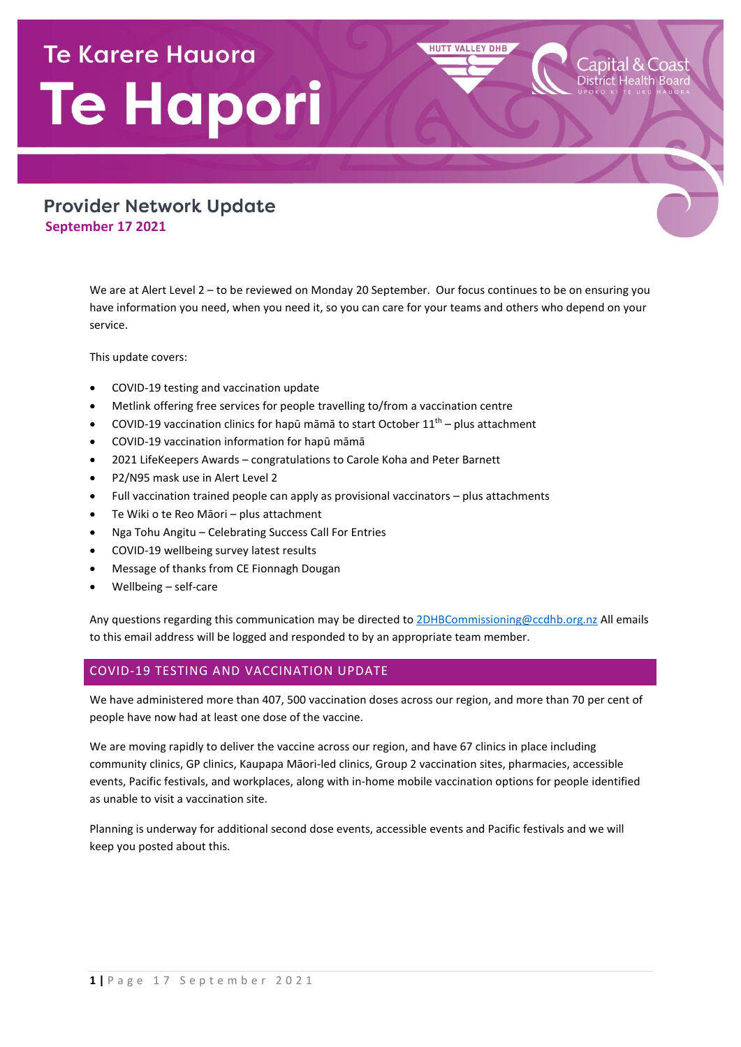# **Te Karere Hauora** Te Hapori

## **Provider Network Update September 17 2021**

We are at Alert Level 2 – to be reviewed on Monday 20 September. Our focus continues to be on ensuring you have information you need, when you need it, so you can care for your teams and others who depend on your service.

**HUTT VALLEY DHB** 

This update covers:

- COVID-19 testing and vaccination update
- Metlink offering free services for people travelling to/from a vaccination centre
- COVID-19 vaccination clinics for hapū māmā to start October  $11<sup>th</sup>$  plus attachment
- COVID-19 vaccination information for hapū māmā
- 2021 LifeKeepers Awards congratulations to Carole Koha and Peter Barnett
- P2/N95 mask use in Alert Level 2
- Full vaccination trained people can apply as provisional vaccinators plus attachments
- Te Wiki o te Reo Māori plus attachment
- Nga Tohu Angitu Celebrating Success Call For Entries
- COVID-19 wellbeing survey latest results
- Message of thanks from CE Fionnagh Dougan
- Wellbeing self-care

Any questions regarding this communication may be directed t[o 2DHBCommissioning@ccdhb.org.nz](mailto:2DHBCommissioning@ccdhb.org.nz) All emails to this email address will be logged and responded to by an appropriate team member.

## COVID-19 TESTING AND VACCINATION UPDATE

We have administered more than 407, 500 vaccination doses across our region, and more than 70 per cent of people have now had at least one dose of the vaccine.

We are moving rapidly to deliver the vaccine across our region, and have 67 clinics in place including community clinics, GP clinics, Kaupapa Māori-led clinics, Group 2 vaccination sites, pharmacies, accessible events, Pacific festivals, and workplaces, along with in-home mobile vaccination options for people identified as unable to visit a vaccination site.

Planning is underway for additional second dose events, accessible events and Pacific festivals and we will keep you posted about this.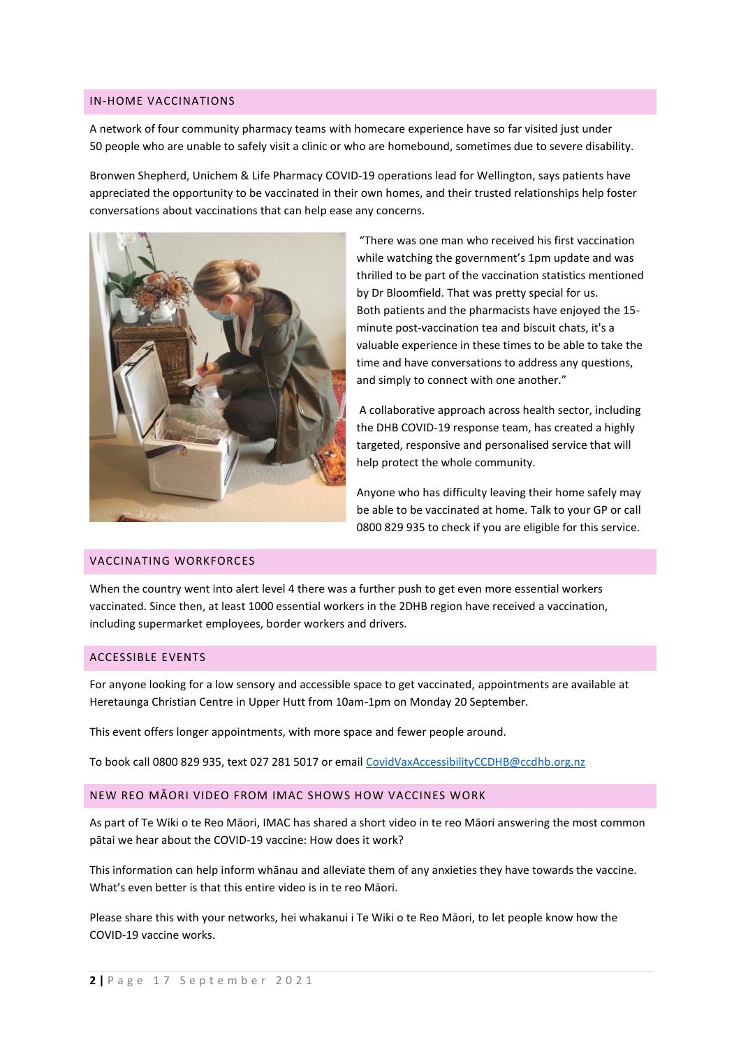#### IN-HOME VACCINATIONS

A network of four community pharmacy teams with homecare experience have so far visited just under 50 people who are unable to safely visit a clinic or who are homebound, sometimes due to severe disability.

Bronwen Shepherd, Unichem & Life Pharmacy COVID-19 operations lead for Wellington, says patients have appreciated the opportunity to be vaccinated in their own homes, and their trusted relationships help foster conversations about vaccinations that can help ease any concerns.



"There was one man who received his first vaccination while watching the government's 1pm update and was thrilled to be part of the vaccination statistics mentioned by Dr Bloomfield. That was pretty special for us. Both patients and the pharmacists have enjoyed the 15 minute post-vaccination tea and biscuit chats, it's a valuable experience in these times to be able to take the time and have conversations to address any questions, and simply to connect with one another."

A collaborative approach across health sector, including the DHB COVID-19 response team, has created a highly targeted, responsive and personalised service that will help protect the whole community.

Anyone who has difficulty leaving their home safely may be able to be vaccinated at home. Talk to your GP or call 0800 829 935 to check if you are eligible for this service.

## VACCINATING WORKFORCES

When the country went into alert level 4 there was a further push to get even more essential workers vaccinated. Since then, at least 1000 essential workers in the 2DHB region have received a vaccination, including supermarket employees, border workers and drivers.

#### ACCESSIBLE EVENTS

For anyone looking for a low sensory and accessible space to get vaccinated, appointments are available at Heretaunga Christian Centre in Upper Hutt from 10am-1pm on Monday 20 September.

This event offers longer appointments, with more space and fewer people around.

To book call 0800 829 935, text 027 281 5017 or email [CovidVaxAccessibilityCCDHB@ccdhb.org.nz](mailto:CovidVaxAccessibilityCCDHB@ccdhb.org.nz)

#### NEW REO MĀORI VIDEO FROM IMAC SHOWS HOW VACCINES WORK

As part of Te Wiki o te Reo Māori, IMAC has shared [a short video](https://urldefense.com/v3/__https:/www.youtube.com/watch?v=ncfmxGZz_5s__;!!A3teau8g8Q!AeUmk6px3T0jCQwOXWQ-I2sthEsG4_BrSBptNk46EhjaVSsSRZRqRs6xQIlCFvwI1ECJ$) in te reo Māori answering the most common pātai we hear about the COVID-19 vaccine: How does it work?

This information can help inform whānau and alleviate them of any anxieties they have towards the vaccine. What's even better is that this entire video is in te reo Māori.

Please share this with your networks, hei whakanui i Te Wiki o te Reo Māori, to let people know how the COVID-19 vaccine works.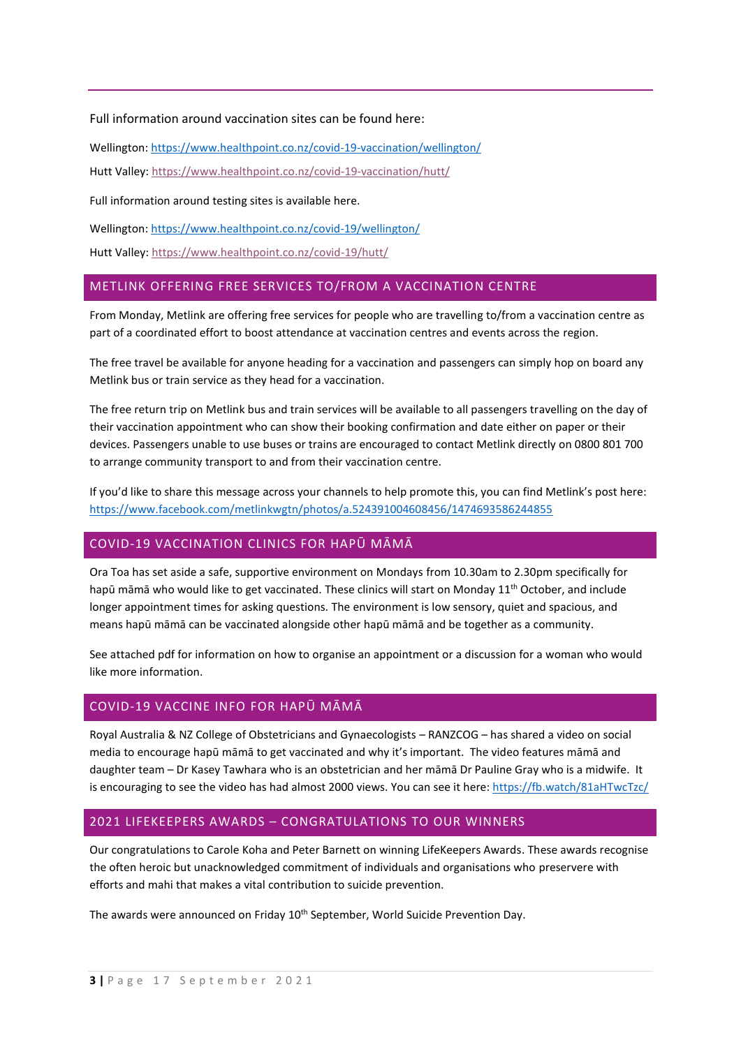Full information around vaccination sites can be found here:

Wellington[: https://www.healthpoint.co.nz/covid-19-vaccination/wellington/](https://www.healthpoint.co.nz/covid-19-vaccination/wellington/)

Hutt Valley:<https://www.healthpoint.co.nz/covid-19-vaccination/hutt/>

Full information around testing sites is available here.

Wellington[: https://www.healthpoint.co.nz/covid-19/wellington/](https://www.healthpoint.co.nz/covid-19/wellington/)

Hutt Valley:<https://www.healthpoint.co.nz/covid-19/hutt/>

## METLINK OFFERING FREE SERVICES TO/FROM A VACCINATION CENTRE

From Monday, Metlink are offering free services for people who are travelling to/from a vaccination centre as part of a coordinated effort to boost attendance at vaccination centres and events across the region.

The free travel be available for anyone heading for a vaccination and passengers can simply hop on board any Metlink bus or train service as they head for a vaccination.

The free return trip on Metlink bus and train services will be available to all passengers travelling on the day of their vaccination appointment who can show their booking confirmation and date either on paper or their devices. Passengers unable to use buses or trains are encouraged to contact Metlink directly on 0800 801 700 to arrange community transport to and from their vaccination centre.

If you'd like to share this message across your channels to help promote this, you can find Metlink's post here: [https://www.facebook.com/metlinkwgtn/photos/a.524391004608456/1474693586244855](https://urldefense.com/v3/__https:/www.facebook.com/metlinkwgtn/photos/a.524391004608456/1474693586244855__;!!A3teau8g8Q!CkPKvkUGY9Yxh_dCMECqB98DshkCFOyH7NpfQo_ubCksZ9fGHTF6zGSA7dTiYJy_Kjia$)

## COVID-19 VACCINATION CLINICS FOR HAPŪ MĀMĀ

Ora Toa has set aside a safe, supportive environment on Mondays from 10.30am to 2.30pm specifically for hapū māmā who would like to get vaccinated. These clinics will start on Monday  $11<sup>th</sup>$  October, and include longer appointment times for asking questions. The environment is low sensory, quiet and spacious, and means hapū māmā can be vaccinated alongside other hapū māmā and be together as a community.

See attached pdf for information on how to organise an appointment or a discussion for a woman who would like more information.

## COVID-19 VACCINE INFO FOR HAPŪ MĀMĀ

Royal Australia & NZ College of Obstetricians and Gynaecologists – RANZCOG – has shared a video on social media to encourage hapū māmā to get vaccinated and why it's important. The video features māmā and daughter team – Dr Kasey Tawhara who is an obstetrician and her māmā Dr Pauline Gray who is a midwife. It is encouraging to see the video has had almost 2000 views. You can see it here:<https://fb.watch/81aHTwcTzc/>

#### 2021 LIFEKEEPERS AWARDS – CONGRATULATIONS TO OUR WINNERS

Our congratulations to Carole Koha and Peter Barnett on winning LifeKeepers Awards. These awards recognise the often heroic but unacknowledged commitment of individuals and organisations who preservere with efforts and mahi that makes a vital contribution to suicide prevention.

The awards were announced on Friday 10<sup>th</sup> September, World Suicide Prevention Day.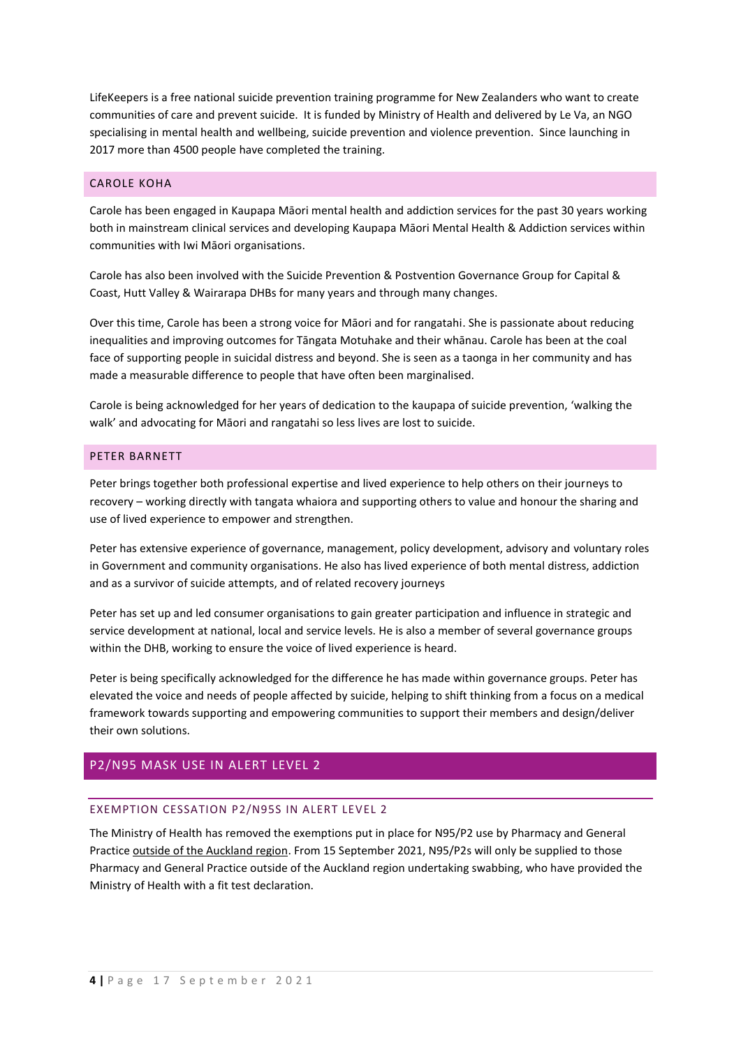LifeKeepers is a free national suicide prevention training programme for New Zealanders who want to create communities of care and prevent suicide. It is funded by Ministry of Health and delivered by Le Va, an NGO specialising in mental health and wellbeing, suicide prevention and violence prevention. Since launching in 2017 more than 4500 people have completed the training.

## CAROLE KOHA

Carole has been engaged in Kaupapa Māori mental health and addiction services for the past 30 years working both in mainstream clinical services and developing Kaupapa Māori Mental Health & Addiction services within communities with Iwi Māori organisations.

Carole has also been involved with the Suicide Prevention & Postvention Governance Group for Capital & Coast, Hutt Valley & Wairarapa DHBs for many years and through many changes.

Over this time, Carole has been a strong voice for Māori and for rangatahi. She is passionate about reducing inequalities and improving outcomes for Tāngata Motuhake and their whānau. Carole has been at the coal face of supporting people in suicidal distress and beyond. She is seen as a taonga in her community and has made a measurable difference to people that have often been marginalised.

Carole is being acknowledged for her years of dedication to the kaupapa of suicide prevention, 'walking the walk' and advocating for Māori and rangatahi so less lives are lost to suicide.

## PETER BARNETT

Peter brings together both professional expertise and lived experience to help others on their journeys to recovery – working directly with tangata whaiora and supporting others to value and honour the sharing and use of lived experience to empower and strengthen.

Peter has extensive experience of governance, management, policy development, advisory and voluntary roles in Government and community organisations. He also has lived experience of both mental distress, addiction and as a survivor of suicide attempts, and of related recovery journeys

Peter has set up and led consumer organisations to gain greater participation and influence in strategic and service development at national, local and service levels. He is also a member of several governance groups within the DHB, working to ensure the voice of lived experience is heard.

Peter is being specifically acknowledged for the difference he has made within governance groups. Peter has elevated the voice and needs of people affected by suicide, helping to shift thinking from a focus on a medical framework towards supporting and empowering communities to support their members and design/deliver their own solutions.

## P2/N95 MASK USE IN ALERT LEVEL 2

#### EXEMPTION CESSATION P2/N95S IN ALERT LEVEL 2

The Ministry of Health has removed the exemptions put in place for N95/P2 use by Pharmacy and General Practice outside of the Auckland region. From 15 September 2021, N95/P2s will only be supplied to those Pharmacy and General Practice outside of the Auckland region undertaking swabbing, who have provided the Ministry of Health with a fit test declaration.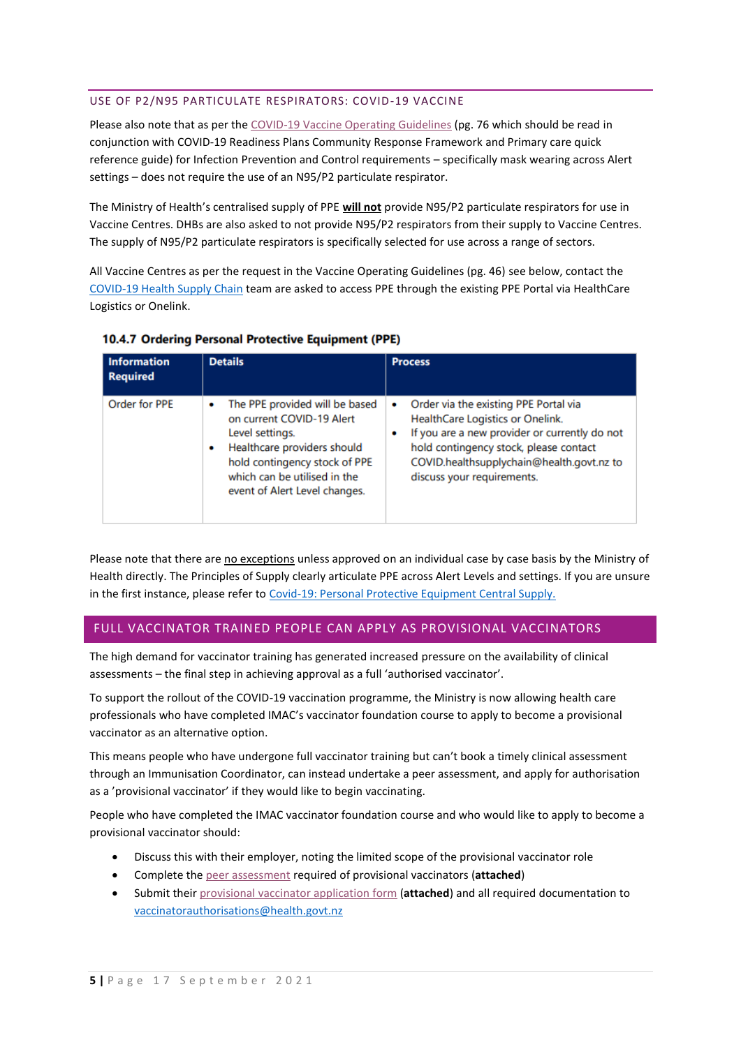## USE OF P2/N95 PARTICULATE RESPIRATORS: COVID-19 VACCINE

Please also note that as per the [COVID-19 Vaccine Operating Guidelines](https://urldefense.com/v3/__https:/www.health.govt.nz/system/files/documents/pages/covid-19-vaccine-operating-guidelines-v23-9sept2021.pdf__;!!A3teau8g8Q!DIsf8Uq4hx7Egq1jS9053_Zpa_9j2XwEiSU0FoImG1bXps0PJ8XS2Vex4Wbu7-x1MF0$) (pg. 76 which should be read in conjunction with COVID-19 Readiness Plans Community Response Framework and Primary care quick reference guide) for Infection Prevention and Control requirements – specifically mask wearing across Alert settings – does not require the use of an N95/P2 particulate respirator.

The Ministry of Health's centralised supply of PPE **will not** provide N95/P2 particulate respirators for use in Vaccine Centres. DHBs are also asked to not provide N95/P2 respirators from their supply to Vaccine Centres. The supply of N95/P2 particulate respirators is specifically selected for use across a range of sectors.

All Vaccine Centres as per the request in the Vaccine Operating Guidelines (pg. 46) see below, contact the [COVID-19 Health Supply Chain](mailto:COVID.HealthSupplyChain@health.govt.nz) team are asked to access PPE through the existing PPE Portal via HealthCare Logistics or Onelink.

| <b>Information</b><br><b>Required</b> | <b>Details</b>                                                                                                                                                                                                            | <b>Process</b>                                                                                                                                                                                                                                       |
|---------------------------------------|---------------------------------------------------------------------------------------------------------------------------------------------------------------------------------------------------------------------------|------------------------------------------------------------------------------------------------------------------------------------------------------------------------------------------------------------------------------------------------------|
| Order for PPE                         | The PPE provided will be based<br>٠<br>on current COVID-19 Alert<br>Level settings.<br>Healthcare providers should<br>٠<br>hold contingency stock of PPE<br>which can be utilised in the<br>event of Alert Level changes. | Order via the existing PPE Portal via<br>٠<br>HealthCare Logistics or Onelink.<br>If you are a new provider or currently do not<br>hold contingency stock, please contact<br>COVID.healthsupplychain@health.govt.nz to<br>discuss your requirements. |

## 10.4.7 Ordering Personal Protective Equipment (PPE)

Please note that there are no exceptions unless approved on an individual case by case basis by the Ministry of Health directly. The Principles of Supply clearly articulate PPE across Alert Levels and settings. If you are unsure in the first instance, please refer to [Covid-19: Personal Protective Equipment Central Supply.](https://urldefense.com/v3/__https:/www.health.govt.nz/our-work/diseases-and-conditions/covid-19-novel-coronavirus/covid-19-information-specific-audiences/covid-19-personal-protective-equipment-central-supply/personal-protective-equipment-use-health-and-disability-care-settings__;!!A3teau8g8Q!DIsf8Uq4hx7Egq1jS9053_Zpa_9j2XwEiSU0FoImG1bXps0PJ8XS2Vex4Wbu4uVl6TU$)

## FULL VACCINATOR TRAINED PEOPLE CAN APPLY AS PROVISIONAL VACCINATORS

The high demand for vaccinator training has generated increased pressure on the availability of clinical assessments – the final step in achieving approval as a full 'authorised vaccinator'.

To support the rollout of the COVID-19 vaccination programme, the Ministry is now allowing health care professionals who have completed IMAC's vaccinator foundation course to apply to become a provisional vaccinator as an alternative option.

This means people who have undergone full vaccinator training but can't book a timely clinical assessment through an Immunisation Coordinator, can instead undertake a peer assessment, and apply for authorisation as a 'provisional vaccinator' if they would like to begin vaccinating.

People who have completed the IMAC vaccinator foundation course and who would like to apply to become a provisional vaccinator should:

- Discuss this with their employer, noting the limited scope of the provisional vaccinator role
- Complete th[e peer assessment](https://urldefense.com/v3/__https:/www.immune.org.nz/sites/default/files/2021*20Peer*20assessment*20form*20for*20provisional*20vaccinators*20Final*20V7.pdf__;JSUlJSUlJSU!!A3teau8g8Q!GHdcbcA-Rz9pvDAN7rgCxbtEMOkx-ql6ZPtqrfO74wQ2q7B1UGszBM2a_19o5BGPCJnZ$) required of provisional vaccinators (**attached**)
- Submit thei[r provisional vaccinator application form](https://urldefense.com/v3/__https:/www.health.govt.nz/system/files/documents/pages/provisional-vaccination-authorisation-application-form-sep21_0.pdf__;!!A3teau8g8Q!GHdcbcA-Rz9pvDAN7rgCxbtEMOkx-ql6ZPtqrfO74wQ2q7B1UGszBM2a_19o5EdF6msz$) (**attached**) and all required documentation to [vaccinatorauthorisations@health.govt.nz](mailto:vaccinatorauthorisations@health.govt.nz)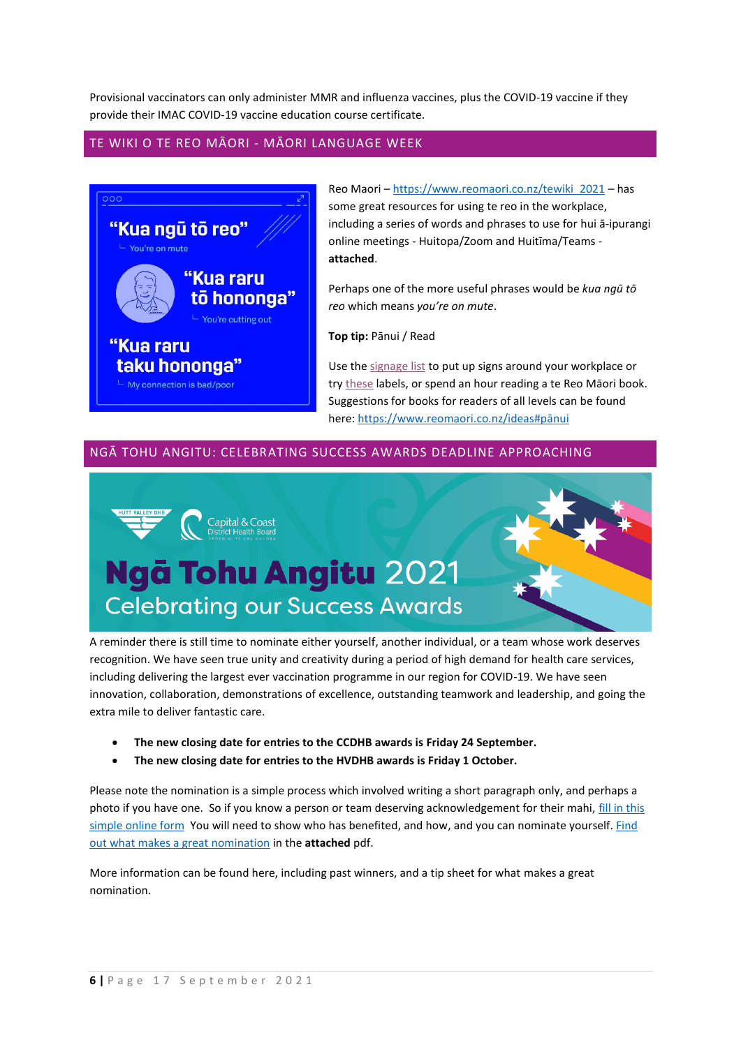Provisional vaccinators can only administer MMR and influenza vaccines, plus the COVID-19 vaccine if they provide their IMAC COVID-19 vaccine education course certificate.

## TE WIKI O TE REO MĀORI - MĀORI LANGUAGE WEEK



Reo Maori – [https://www.reomaori.co.nz/tewiki\\_2021](https://www.reomaori.co.nz/tewiki_2021) – has some great resources for using te reo in the workplace, including a series of words and phrases to use for hui ā-ipurangi online meetings - Huitopa/Zoom and Huitīma/Teams **attached**.

Perhaps one of the more useful phrases would be *kua ngū tō reo* which means *you're on mute*.

**Top tip:** Pānui / Read

Use the [signage list](https://www.tetaurawhiri.govt.nz/ako/bilingual-signage/) to put up signs around your workplace or try [these](https://tetaurawhiri.govt.nz/rauemi-a-ipurangi/rauemi/everyday-labels/) labels, or spend an hour reading a te Reo Māori book. Suggestions for books for readers of all levels can be found here[: https://www.reomaori.co.nz/ideas#p](https://www.reomaori.co.nz/ideas#pānui)ānui

## NGĀ TOHU ANGITU: CELEBRATING SUCCESS AWARDS DEADLINE APPROACHING



A reminder there is still time to nominate either yourself, another individual, or a team whose work deserves recognition. We have seen true unity and creativity during a period of high demand for health care services, including delivering the largest ever vaccination programme in our region for COVID-19. We have seen innovation, collaboration, demonstrations of excellence, outstanding teamwork and leadership, and going the extra mile to deliver fantastic care.

- **The new closing date for entries to the CCDHB awards is Friday 24 September.**
- **The new closing date for entries to the HVDHB awards is Friday 1 October.**

Please note the nomination is a simple process which involved writing a short paragraph only, and perhaps a photo if you have one. So if you know a person or team deserving acknowledgement for their mahi, fill in this [simple online form](https://www.surveymonkey.com/r/L5SCC3G) You will need to show who has benefited, and how, and you can nominate yourself. [Find](http://www.huttvalleydhb.org.nz/assets/what-makes-a-good-nomination.pdf)  [out what makes a great nomination](http://www.huttvalleydhb.org.nz/assets/what-makes-a-good-nomination.pdf) in the **attached** pdf.

More information can be found here, including past winners, and a tip sheet for what makes a great nomination.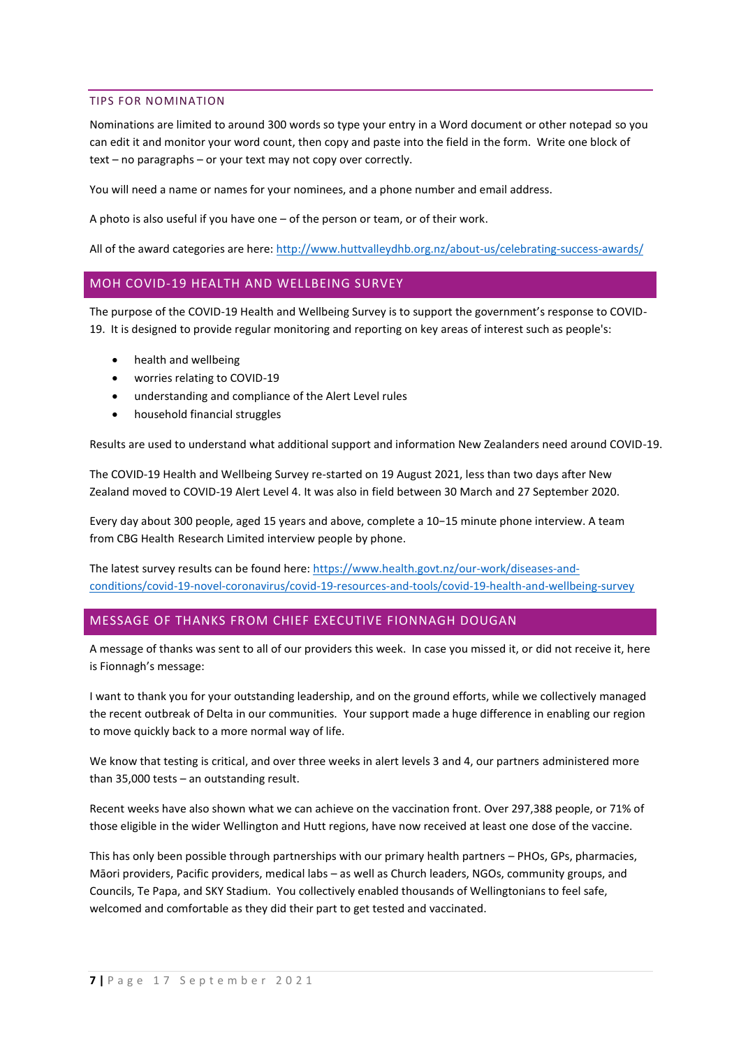#### TIPS FOR NOMINATION

Nominations are limited to around 300 words so type your entry in a Word document or other notepad so you can edit it and monitor your word count, then copy and paste into the field in the form. Write one block of text – no paragraphs – or your text may not copy over correctly.

You will need a name or names for your nominees, and a phone number and email address.

A photo is also useful if you have one – of the person or team, or of their work.

All of the award categories are here:<http://www.huttvalleydhb.org.nz/about-us/celebrating-success-awards/>

## MOH COVID-19 HEALTH AND WELLBEING SURVEY

The purpose of the COVID-19 Health and Wellbeing Survey is to support the government's response to COVID-19. It is designed to provide regular monitoring and reporting on key areas of interest such as people's:

- health and wellbeing
- worries relating to COVID-19
- understanding and compliance of the Alert Level rules
- household financial struggles

Results are used to understand what additional support and information New Zealanders need around COVID-19.

The COVID-19 Health and Wellbeing Survey re-started on 19 August 2021, less than two days after New Zealand moved to COVID-19 Alert Level 4. It was also in field between 30 March and 27 September 2020.

Every day about 300 people, aged 15 years and above, complete a 10−15 minute phone interview. A team from CBG Health Research Limited interview people by phone.

The latest survey results can be found here[: https://www.health.govt.nz/our-work/diseases-and](https://www.health.govt.nz/our-work/diseases-and-conditions/covid-19-novel-coronavirus/covid-19-resources-and-tools/covid-19-health-and-wellbeing-survey)[conditions/covid-19-novel-coronavirus/covid-19-resources-and-tools/covid-19-health-and-wellbeing-survey](https://www.health.govt.nz/our-work/diseases-and-conditions/covid-19-novel-coronavirus/covid-19-resources-and-tools/covid-19-health-and-wellbeing-survey)

#### MESSAGE OF THANKS FROM CHIEF EXECUTIVE FIONNAGH DOUGAN

A message of thanks was sent to all of our providers this week. In case you missed it, or did not receive it, here is Fionnagh's message:

I want to thank you for your outstanding leadership, and on the ground efforts, while we collectively managed the recent outbreak of Delta in our communities. Your support made a huge difference in enabling our region to move quickly back to a more normal way of life.

We know that testing is critical, and over three weeks in alert levels 3 and 4, our partners administered more than 35,000 tests – an outstanding result.

Recent weeks have also shown what we can achieve on the vaccination front. Over 297,388 people, or 71% of those eligible in the wider Wellington and Hutt regions, have now received at least one dose of the vaccine.

This has only been possible through partnerships with our primary health partners – PHOs, GPs, pharmacies, Māori providers, Pacific providers, medical labs – as well as Church leaders, NGOs, community groups, and Councils, Te Papa, and SKY Stadium. You collectively enabled thousands of Wellingtonians to feel safe, welcomed and comfortable as they did their part to get tested and vaccinated.